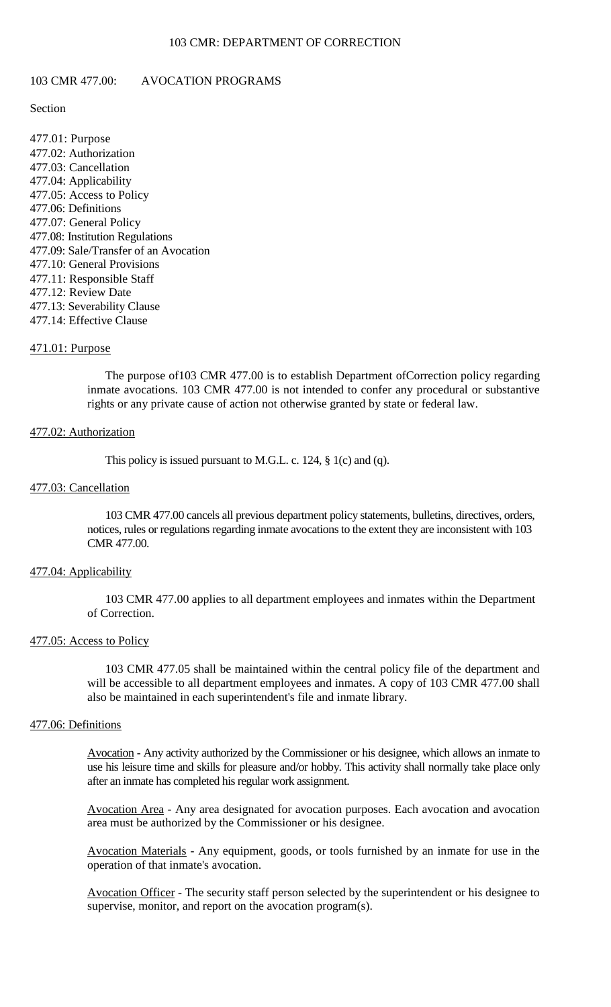#### 103 CMR: DEPARTMENT OF CORRECTION

#### 103 CMR 477.00: AVOCATION PROGRAMS

# Section

477.01: Purpose 477.02: Authorization 477.03: Cancellation 477.04: Applicability 477.05: Access to Policy 477.06: Definitions 477.07: General Policy 477.08: Institution Regulations 477.09: Sale/Transfer of an Avocation 477.10: General Provisions 477.11: Responsible Staff 477.12: Review Date 477.13: Severability Clause 477.14: Effective Clause

#### 471.01: Purpose

The purpose of103 CMR 477.00 is to establish Department ofCorrection policy regarding inmate avocations. 103 CMR 477.00 is not intended to confer any procedural or substantive rights or any private cause of action not otherwise granted by state or federal law.

#### 477.02: Authorization

This policy is issued pursuant to M.G.L. c. 124, § 1(c) and (q).

# 477.03: Cancellation

103 CMR 477.00 cancels all previous department policy statements, bulletins, directives, orders, notices, rules or regulations regarding inmate avocations to the extent they are inconsistent with 103 CMR 477.00.

### 477.04: Applicability

103 CMR 477.00 applies to all department employees and inmates within the Department of Correction.

#### 477.05: Access to Policy

103 CMR 477.05 shall be maintained within the central policy file of the department and will be accessible to all department employees and inmates. A copy of 103 CMR 477.00 shall also be maintained in each superintendent's file and inmate library.

#### 477.06: Definitions

Avocation - Any activity authorized by the Commissioner or his designee, which allows an inmate to use his leisure time and skills for pleasure and/or hobby. This activity shall normally take place only after an inmate has completed his regular work assignment.

Avocation Area - Any area designated for avocation purposes. Each avocation and avocation area must be authorized by the Commissioner or his designee.

Avocation Materials - Any equipment, goods, or tools furnished by an inmate for use in the operation of that inmate's avocation.

Avocation Officer - The security staff person selected by the superintendent or his designee to supervise, monitor, and report on the avocation program(s).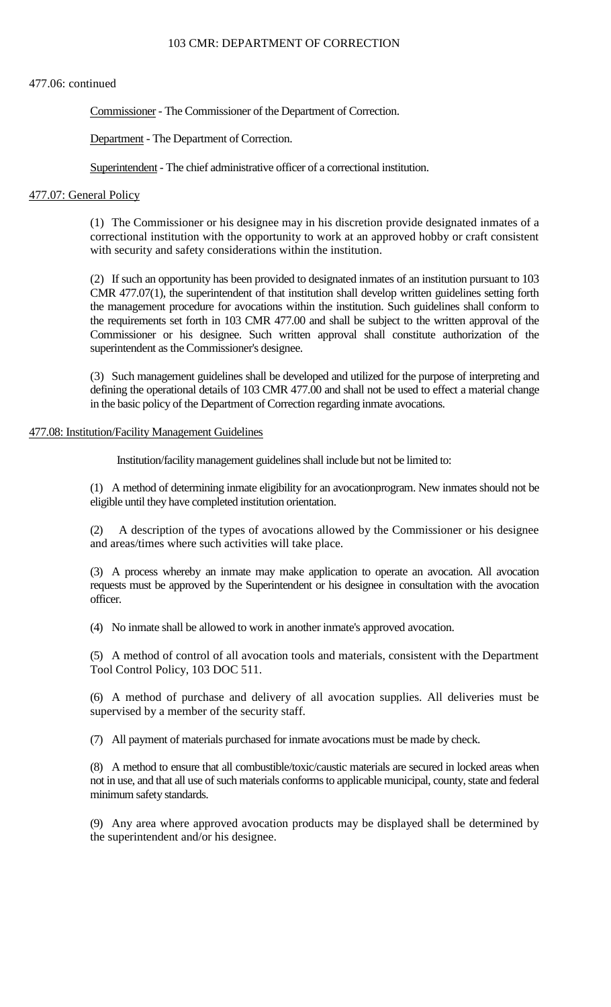### 103 CMR: DEPARTMENT OF CORRECTION

# 477.06: continued

Commissioner - The Commissioner of the Department of Correction.

Department - The Department of Correction.

Superintendent - The chief administrative officer of a correctional institution.

## 477.07: General Policy

(1) The Commissioner or his designee may in his discretion provide designated inmates of a correctional institution with the opportunity to work at an approved hobby or craft consistent with security and safety considerations within the institution.

(2) If such an opportunity has been provided to designated inmates of an institution pursuant to 103 CMR 477.07(1), the superintendent of that institution shall develop written guidelines setting forth the management procedure for avocations within the institution. Such guidelines shall conform to the requirements set forth in 103 CMR 477.00 and shall be subject to the written approval of the Commissioner or his designee. Such written approval shall constitute authorization of the superintendent as the Commissioner's designee.

(3) Such management guidelines shall be developed and utilized for the purpose of interpreting and defining the operational details of 103 CMR 477.00 and shall not be used to effect a material change in the basic policy of the Department of Correction regarding inmate avocations.

## 477.08: Institution/Facility Management Guidelines

Institution/facility management guidelines shall include but not be limited to:

(1) A method of determining inmate eligibility for an avocationprogram. New inmates should not be eligible until they have completed institution orientation.

(2) A description of the types of avocations allowed by the Commissioner or his designee and areas/times where such activities will take place.

(3) A process whereby an inmate may make application to operate an avocation. All avocation requests must be approved by the Superintendent or his designee in consultation with the avocation officer.

(4) No inmate shall be allowed to work in another inmate's approved avocation.

(5) A method of control of all avocation tools and materials, consistent with the Department Tool Control Policy, 103 DOC 511.

(6) A method of purchase and delivery of all avocation supplies. All deliveries must be supervised by a member of the security staff.

(7) All payment of materials purchased for inmate avocations must be made by check.

(8) A method to ensure that all combustible/toxic/caustic materials are secured in locked areas when not in use, and that all use of such materials conforms to applicable municipal, county, state and federal minimum safety standards.

(9) Any area where approved avocation products may be displayed shall be determined by the superintendent and/or his designee.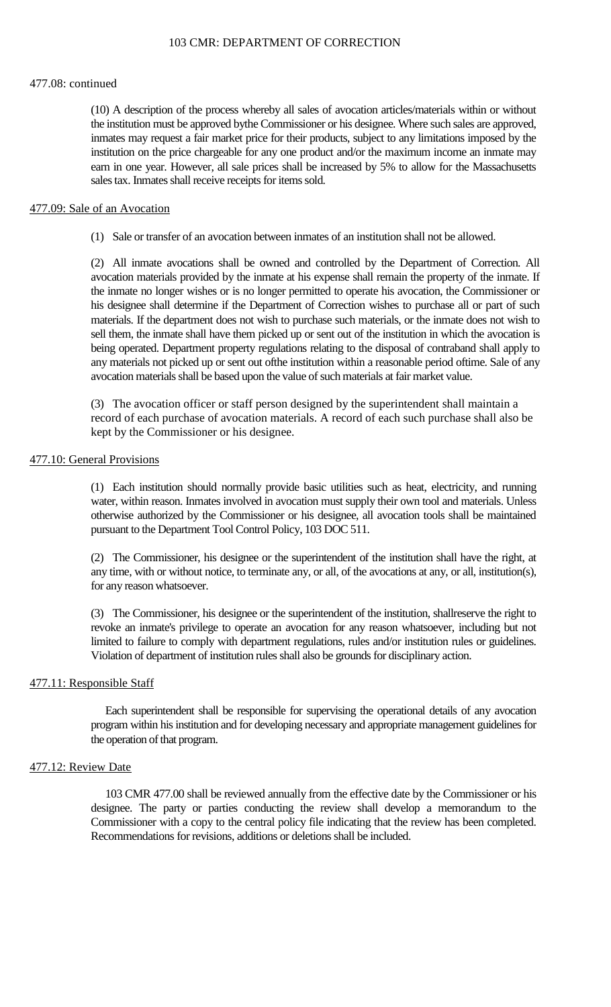### 103 CMR: DEPARTMENT OF CORRECTION

#### 477.08: continued

(10) A description of the process whereby all sales of avocation articles/materials within or without the institution must be approved bythe Commissioner or his designee. Where such sales are approved, inmates may request a fair market price for their products, subject to any limitations imposed by the institution on the price chargeable for any one product and/or the maximum income an inmate may earn in one year. However, all sale prices shall be increased by 5% to allow for the Massachusetts sales tax. Inmates shall receive receipts for items sold.

## 477.09: Sale of an Avocation

(1) Sale or transfer of an avocation between inmates of an institution shall not be allowed.

(2) All inmate avocations shall be owned and controlled by the Department of Correction. All avocation materials provided by the inmate at his expense shall remain the property of the inmate. If the inmate no longer wishes or is no longer permitted to operate his avocation, the Commissioner or his designee shall determine if the Department of Correction wishes to purchase all or part of such materials. If the department does not wish to purchase such materials, or the inmate does not wish to sell them, the inmate shall have them picked up or sent out of the institution in which the avocation is being operated. Department property regulations relating to the disposal of contraband shall apply to any materials not picked up or sent out ofthe institution within a reasonable period oftime. Sale of any avocation materials shall be based upon the value of such materials at fair market value.

(3) The avocation officer or staff person designed by the superintendent shall maintain a record of each purchase of avocation materials. A record of each such purchase shall also be kept by the Commissioner or his designee.

# 477.10: General Provisions

(1) Each institution should normally provide basic utilities such as heat, electricity, and running water, within reason. Inmates involved in avocation must supply their own tool and materials. Unless otherwise authorized by the Commissioner or his designee, all avocation tools shall be maintained pursuant to the Department Tool Control Policy, 103 DOC 511.

(2) The Commissioner, his designee or the superintendent of the institution shall have the right, at any time, with or without notice, to terminate any, or all, of the avocations at any, or all, institution(s), for any reason whatsoever.

(3) The Commissioner, his designee or the superintendent of the institution, shallreserve the right to revoke an inmate's privilege to operate an avocation for any reason whatsoever, including but not limited to failure to comply with department regulations, rules and/or institution rules or guidelines. Violation of department of institution rules shall also be grounds for disciplinary action.

### 477.11: Responsible Staff

Each superintendent shall be responsible for supervising the operational details of any avocation program within his institution and for developing necessary and appropriate management guidelines for the operation of that program.

# 477.12: Review Date

103 CMR 477.00 shall be reviewed annually from the effective date by the Commissioner or his designee. The party or parties conducting the review shall develop a memorandum to the Commissioner with a copy to the central policy file indicating that the review has been completed. Recommendations for revisions, additions or deletions shall be included.